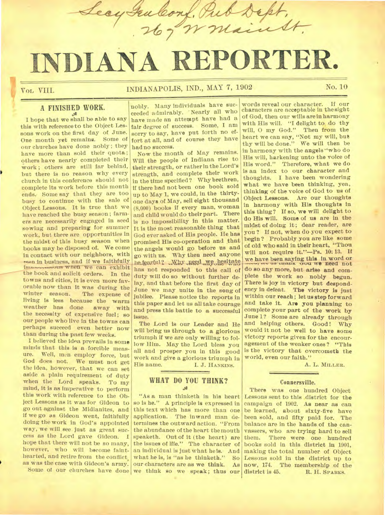**INDIANA REPORTER.** 

Leay Failconf, Pu

**voL vm.** 

## INDIANAPOLIS, IND., MAY 7, 1902 No. 10

### **A FINISHED WORK.**

I hope that we shall be able to say this with reference to the Object Lessons work on the first day of June. One month yet remains. Some of our churches have done nobly ; they have more than sold their quota; others have nearly completed their work; others are still far behind, but there is no reason why every church in this conference should not complete its work before this month ends. Some say that they are too busy to continue with the sale of Object Lessons. It is true that we have reached the busy season ; farmers are necessarily engaged in seed sowing and preparing for summer work, but there are opportunities in the midst of this busy season when books may be disposed of. We come in contact with our neighbors, with men in business, and if we faithfully imaxes we when we can exhibit the book and solicit orders. In the towns and cities, it is even more favorable now than it was during the<br>winter season. The expense of The expense of living is less because the warm weather has done away with the necessity of expensive fuel; so our people who live in the towns can perhaps succeed even better now than during the past few weeks.

I believed the idea prevails in some minds that this is a forcible measure. Well, men employ force but Well, men employ force, but God does not. We must not get the idea, however, that we can set aside a plain requirement of duty when the Lord speaks. To my mind, it is as imperative to perform this work with reference to the Object Lessons as it was for Gideon to go out against the Midianites, and if we go as Gideon went, faithfully doing the work in God's appointed way, we will see just as great success as the Lord gave Gideon. I hope that there will not be so many, however, who will become fainthearted, and retire from the conflict, as was the case with Gideon's army.

nobly. Many individuals have succeeded admirably. 'Nearly all who have made an attempt have had a fair degree of success. Some, I am sorry to say, have put forth no effort at all, and of course they have had no success.

Now the month of May remains. Will the people of Indiana rise to their strength, or rather in the Lord's strength, and complete their work in the time specified? Why brethren, if there had not been one book sold up to May 1, we could, in the thirtyone days of May, sell eight thousand (8,000) books if every man, woman and child would do their part. There is no impossibility in this matter. It is the most reasonable thing that God ever asked of His people. He has promised His co-operation and that the angels would go before us and go with us. Why then need anyone he feartul? Why need we hesitate has not responded to this call of duty will do so without further delay, and that before the first day of June we may unite in the song of jubilee. Please notice the reports in this paper and let us all take courage and press this battle to a successful issue.

The Lord is our Leader and He will bring us through to a glorious triumph if we are only willing to follow Him. May the Lord bless you all and prosper you in this good work and give a glorious triumph in<br>His name. [1, J. HANKINS] I. J. HANKINS.

# **WHAT** DO YOU THINK?

Some of our churches have done we think so we speak; thus our "As a man thinketh in his heart so is he." A principle is expressed in this text which has more than one application. The inward man determines the outward action. "From the abundance of the heart the mouth speaketh. Out of it (the heart) are the issues of lffe." The character of an individual is just what bets. And what he is, is "as he thinketh." So our characters are as we think. As

words reveal our character. If our characters are acceptable in the sight of God, then our wills are in harmony with His will. "I delight to do thy will, 0 my God." Then from the heart we can say, "Not my will, but thy will be done." We will then be in harmony with the angels "who do His will, harkening unto the voice of His word." Therefore, what we do is an index to our character and thoughts. I have been wondering what we have been thinking, yea, thinking of the voice of God to us of Object Lessons. Are our thoughts in harmony with His thoughts in this thing? If so, we will delight to do His will. Some of us are in the midst of doing it ; dear reader, are you ? If not, when do you expect to begin? Probably you are like some of old who said in their heart, "Thou will not require it."—Ps. 10: 13. If we have been saying this in word or we us thank true we need not do so any more, but arise and complete the work so nobly begun. There is joy in victory but despondency in defeat. The victory is just within our reach ; let us step forward and take it. Are you planning to complete your part of the work by June 1? Some are already through and helping others. Good! Why would it not be well to have some victory reports given for the encouragement of the weaker ones ? "This is the victory that overcometh the world, even our faith."

rue Dept.

A. L. **MILLER.** 

### Connersville.

There was one hundred Object Lessons sent to this district for the campaign of 1902. As near as can be learned, about sixty-five have been sold, and fifty paid for. The balance are in the hands of the canvassers, who are trying hard to sell<br>them. There were one hundred There were one hundred books sold in this district in 1901, making the total number of Object Lessons sold in the district up to now, 174. The membership of the district is 45. R. H. SPARKS. R. H. SPARKS.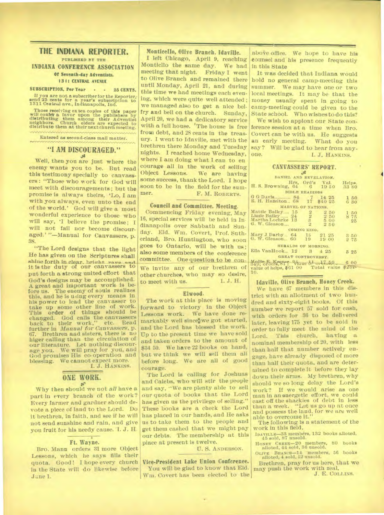### **THE INDIANA REPORTER.**

**PUBLISHED BY THE INDIANA CONFERENCE ASSOCIATION Of Seventh-day Adventists.** 

### **1311 CENTRAL AVENUE**

### **SUBSCRIPTION, Per Year - - 25 CENTS.**

If you are not a subscriber for the Reporter; send 25 cents for a year's subscription to 1311 Centwsil ave., Indianapolis, Ind.

Those receiving extra copies of this paper will confer a favor upon the publishers by distributing them among their Adventist neighbors. Church elders are expected to distribute them at their next church meeting.

Entered as second-class mail matter.

### **"I AM DISCOURAGED." ,se**

Well, then you are just where the enemy wants you to be. But read this testimony specially to canvassers : "Those who work for God will meet with discouragements ; but the promise is always theirs, 'Lo, I am with you always, even unto the end of the world.' God will give a most wonderful experience to those who will say, 'I believe the promise; I will not fail nor become discouraged.' "—Manual for Canvassers, p. 38.

"The Lord designs that the light He has given on the Scriptures shall **Rhine forth in** clear. briotht **rown o..i it** Is the duty of our canvassers to put forth a strong united effort that God's designs may be accomplished. A great and important work is be-<br>fore us. The enemy of souls realizes The enemy of souls realizes this, and he is uiing every means in his power to lead the canvasser to take up some other line of work. This **order of things should** be changed. God calls the canvassers back to their work," etc. Read further in *Manual for Canvassers,* p. 67. Brethren and sisters, there is no higer calling than the circulation of our literature. Let nothing discourage you. We will pray for you, and We will pray for you, and God promises His co-operation and We cannot expect more.

I. J. HANKINS.

# **ONE WORK.**

Why then should we not *all* have a part in every branch of the work? Every farmer and gardner should devote a piece of land to the Lord. Do it brethren, in faith, and see if he will not send sunshine and rain, and *give*  you fruit for his needy cause. 'I. J. H.

### **Ft. Wayne.**

Bro. Mann orders 31 more Object Lessons, which he says fills their quota. Good! I hope every church in the State will do likewise before J une 1.

**Monticello, Olive Branch, Idaville.** 

I left Chicago, April 9, reaching Monticllo the same day. We had<br>meeting that night. Friday I went meeting that night. to Olive Branch and remained there until Monday, April 21, and during this time we had meetings each evening, which were quite well attended ; we managed also to get a nice belfry and bell on the church. Sunday, April 20, we had a dedicatory service with a full house. 'The house is free from debt, and 28 cents in the treasury. I went to Idaville, met with the brethren there Monday and Tuesday nights. I reached home Wednesday, where I am doing what I can to en courage all in the work of selling<br>Object Lessons. We are having We are having some success, thank the Lord. I hope soon to be in the field for the sum-F. M. ROBERTS.

### **Council and Committee. Meeting.**

Commencing Friday evening, May 16, special services will be held in In dianapolis over Sabbath and Sunday. Eld. Wm. Covert, Prof. Sutherland, Bro. Huntington, who soon goes to Ontario, will be with us ; also some members of the conference committee. One question to be con-We invite any of our brethren of other churches, who may so desire,<br>to meet with us.  $1. J. H.$ to meet with us.

#### Elwood.

The work at this place is moving forward to victory in the Object Lessons work. We have done remarkably well since, we got started. and the Lord has blessed the work. Up to the present time we have sold and taken orders to the amount of \$34 50. We have 22 books on hand, but we think we will sell them all before *long.* We are all of good courage.

The Lord is calling for Joshuas and Calebs, who will stir the people and say, "We are plenty able to sell our quota of books that the Lord has given us the privilege of selling." These books are a check the Lord has placed in our hands, and He asks us to take them to the people and get them cashed that we might pay our debts. The membership at this place at present is twelve.

U. S. ANDERSON.

**Vice-President Lake Union Conference.**  You will be glad to know that Eld. Win. Covert has been elected to the

above office. We hope to have his counsel and his presence frequently in this State

It was decided that Indiana would hold no general camp-meeting this summer. We may have one or two local meetings. It may be that the money usually spent in going to camp-meeting could be given to the State school. Who wishes to do this?

We wish to appiont our State conference session at a time when Bro. Covert can be with us. He suggests an early meeting. What do you say? Will be glad to hear from any-<br>one.  $I_1$  HANKINS I. J. HANKINS.

### **CANVASSERS' REPORT.**

| DANIEL AND REVELATION.                                                        |                 |             |       |                           |                 |                   |  |  |
|-------------------------------------------------------------------------------|-----------------|-------------|-------|---------------------------|-----------------|-------------------|--|--|
| H.S. Browning, 64 6 1950                                                      | Hrs. Ord's Val. |             |       |                           | Helps,<br>33 80 |                   |  |  |
| <b>BIBLE READINGS</b>                                                         |                 |             |       |                           |                 |                   |  |  |
| G G Davis 84 7 14 25<br>R. H. Hazelton., 68 17 \$40 25                        |                 |             |       |                           |                 | 150<br>6 30       |  |  |
| MARVEL OF NATIONS.                                                            |                 |             |       |                           |                 |                   |  |  |
| Mattie Bailey_. 15<br>Lizzie Balley  24<br>Martha Lochrke 13<br>G. W. Gleason |                 | <b>BRAN</b> |       | 250<br>250<br>5 00<br>250 |                 | 150<br>8 75<br>25 |  |  |
| COMING KING.                                                                  |                 |             |       |                           |                 |                   |  |  |
| Mary J Darby 64 15 21 25<br>G. W. Gleason. 60 19                              |                 |             | 19 00 |                           |                 | 350<br>275        |  |  |
| HERALDS OF MORNING.                                                           |                 |             |       |                           |                 |                   |  |  |
| Ella VanHook 12                                                               |                 | -3          | 425   |                           |                 | 3 25              |  |  |
| GREAT CONTROVERSY.                                                            |                 |             |       |                           |                 |                   |  |  |
| Mallie E Keeper Vinue bl orl7.50 6 00                                         |                 |             |       |                           |                 |                   |  |  |
| value of helps, \$61 00 Total value<br>82892                                  |                 |             |       |                           |                 |                   |  |  |

#### **Idaville, Olive Branch, Honey Creek.**

10.

We have 57 members in this district with an allotment of two hundred and sixty-eight books. Of this number we report 57 sold for cash, with orders for **36 to be delivered**  later, leaving 175 yet to be sold in order to fully meet the mind of the Lord. This church, having a nominal membership of 20, with lees than half that number actively engage, have already disposed of more than half their quota, and are determined to complete it before they lay down their arms. My brethren, why should we so long delay the Lord's work? If we would arise as one man in an energetic effort, we could cast off the shackles of debt in less than a week. "Let us go up at once and possess the land, for we are well able to overcome it."

The following is a statement of the work in this field.

**IDAVILLE-33** members, 132 books alloted, 45 sold, 87 unsold.

**HONEY CREEK-20** members, 80 books alloted, 44 sold, 36 unsold.

alloted, 44 sold, 36 unsold.<br>OLIVE BRANCH-14 members, 56 books<br>alloted, 4 sold, 52 unsold.

Brethren, pray for us here, that we may push the work with zeal.

J. E. COLLINS.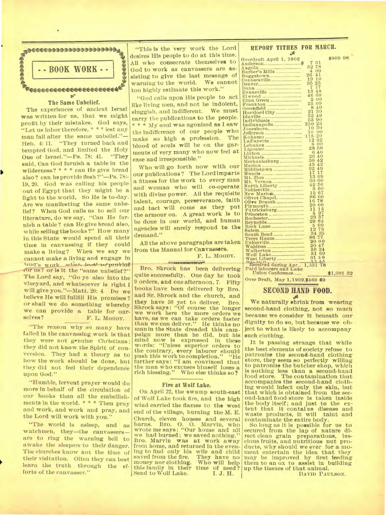

### The Same Unbelief.

The experiences of ancient Israel was written for us, that we might profit by their mistakes. God says, "Let us labor therefore, \* \* \* lest any man fall after the same unbelief."-Heb. 4:11. "They turned back and tempted God, and limited the Holy "They One of Israel."-Ps. 78: 41. said, Can God furnish a table in the wilderness? \* \* \* can He give bread also? can he provide flesh?"-Ps. 78:-19, 20. God was calling his people out of Egypt that they might be a light to the world. So He is to-day. Are we manifesting the same unbelief? When God calls us to sell our literature, do we say, "Can He furnish a table? can Hegive bread also, while selling the books?" How many in this State would spend all their time in canvassing if they could make a living? When we say we cannot make a living and engage in God's work what is det with provide for us? or is it the "same unbelief?" The Lord say, "Go ye also into the vineyard, and whatsoever is right I will give you."-Matt. 20: 4. Do we believe He will fullfill His promises? or shall we do something whereby we can provide a table for ourselves? F. L. MOODY.

"The reason why so many have failed in the canvassing work is that they were not genuine Christians: they did not know the Spirit of conversion. They had a theory as to how the work should be done, but they did not feel their dependence upon God."

"Humble, fervent prayer would do more in behalf of the circulation of our books than all the embellishments in the world. \* \* \* Then pray and work, and work and pray, and the Lord will work with you."

"The world is asleep, and as watchmen, they-the canvassersare to ring the warning bell to awake the sleepers to their danger. The churches know not the time of their visitation. Often they can best learn the truth through the efforts of the canvasser."

"This is the very work the Lord desires His people to do at this time. All who consecrate themselves to God to work as canvassers are assisting to give the last message of warning to the world. We cannot too highly estimate this work."

"God calls upon His people to act like living men, and not be indolent, sluggish, and indifferent. We must carry the publications to the people. \* \* \* My soul was agonized as I saw the indifference of our people who The make so high a profession. blood of souls will be on the garments of very many who now feel at ease and irresponsible."

Who will go forth now with our our publications? The Lord imparts a fitness for the work to every man and woman who will co-operate with divine power. All the requisite talent, courage, perseverance, faith and tact will come as they put the armour on. A great work is to be done in our world, and human agencies will surely respond to the demand."

All the above paragraphs are taken from the Manual for Canvassers.

F. L. MOODY.

**Bar** Bro. Shrock has been delivering quite successfully. One day he took 9 orders, and one afternoon, 7. Fifty books have been delivered by Bro. and Sr. Shrock and the church, and they have 50 yet to deliver. Bro. Shrock says: "Of course the longer we work here the more orders we have, as we can take orders faster<br>than we can deliver." He thinks no man in the State dreaded this campaign more than he did, but his mind now is expressed in these words: "Unless superior orders to the contrary, every laborer should<br>push this work to completion." "He further says: "I am convinced that the man who excuses himself loses a rich blessing." Who else thinks so?

### Fire at Wolf Lake.

On April 22, the swamp south-east of Wolf Lake took fire, and the high wind carried the flames to the west end of the village, burning the M. E. Church, eleven houses and several barns. Bro. O. O. Marvin, who wrote me says: "Our house and all we had burned; we saved nothing.' Bro. Marvin was at work away from home, and returned in the evening to find only his wife and child saved from the fire. They have no Who will help money nor clothing. this family in their time of need? Send to Wolf Lake. I. J. H.

### REPORF TITHES FOR MARCH.

| Overdraft April 1, 1902        |                             | \$909 98  |
|--------------------------------|-----------------------------|-----------|
|                                | 31<br>7                     |           |
|                                | 32<br>78                    |           |
| Barber's Mills                 | OO.<br>4                    |           |
|                                | 41<br>26                    |           |
|                                | 19<br>10                    |           |
|                                | 25<br>35                    |           |
|                                | 7<br>77                     |           |
| Evansville                     | 13<br>48                    |           |
|                                | 46<br>60                    |           |
| Etna Green                     | 2<br>$\sigma$               |           |
| Frankton                       | 23<br>09                    |           |
|                                | 8<br>40                     |           |
|                                | 21<br>30                    |           |
|                                | 52<br>49                    |           |
| Individuals                    | 53<br>90                    |           |
| Indianapolis                   | $_{\bf 23}$<br>$_{\rm 250}$ |           |
| Jonesboro,                     | 30<br>10                    |           |
|                                | O()<br>10                   |           |
|                                | 20<br>115                   |           |
|                                | 12<br>$^{32}$               |           |
|                                | g<br>00                     |           |
|                                | 23<br>58                    |           |
|                                | 6<br>40                     |           |
|                                | 26<br>40                    |           |
| Mechanicsburg                  | 42<br>30                    |           |
|                                | 42<br>43                    |           |
| Middletown                     | 32<br>49                    |           |
| Muncie                         | 17<br>17                    |           |
|                                | $13\,$<br>09                |           |
| Mt.                            | 30<br>00                    |           |
|                                | 42<br>56                    |           |
| Noblesville                    | 3<br>60                     |           |
| New Marion,                    | 15<br>67                    |           |
| Olivet Chapel                  | 86<br>00                    |           |
| Olive Branch                   | 78<br>16                    |           |
|                                | 20<br>00                    |           |
| Patricksburg                   | 11<br>15                    |           |
| Princeton                      | 97<br>5                     |           |
|                                | 37<br>23                    |           |
|                                | 29<br>85                    |           |
|                                | $5\overline{5}$<br>00       |           |
|                                | 12<br>75                    |           |
|                                | 34 35                       |           |
| South Bend<br>Terre Haute      | 86<br>77                    |           |
|                                | 20<br>00                    |           |
|                                | 47<br>20                    |           |
| Waldron                        | 34<br>36                    |           |
| Walkerton                      | 31<br>60                    |           |
|                                | 31<br>50                    |           |
| West Liberty                   |                             |           |
| Received during Apr., 1,531 78 |                             |           |
| Paid laborers and Lake         |                             |           |
| Union Conference               |                             | \$1,091 3 |
|                                |                             |           |

\$1,091 32

Over Draft, May 1, 1902. \$469 69

### **SECOND HAND FOOD.**

We naturally shrink from wearing second-hand clothing, not so much because we consider it beneath our dignity to do so, but because we object to what is likely to accompany such clothing.

It is passing strange that while the best elements of society refuse to patronize the second-hand clothing store, they seem so perfectly willing to patronize the butcher shop, which is nothing less than a second-hand food store. The contamination that accompanies the second-hand cloth-<br>ing would infect only the skin, but<br>that which is obtained from the second-hand food store is taken inside the body itself; and just to the extent that it contains disease and waste products, it will taint and contaminate the entire body.

So long as it is possible for us to secured from the lap of nature direct clean grain preparations, luscious fruits, and nutritious nut products, why should we ever for a moment entertain the idea that they may be improved by first feeding<br>them to an ox to assist in building up the tissues of that animal.

DAVID PAULSON.